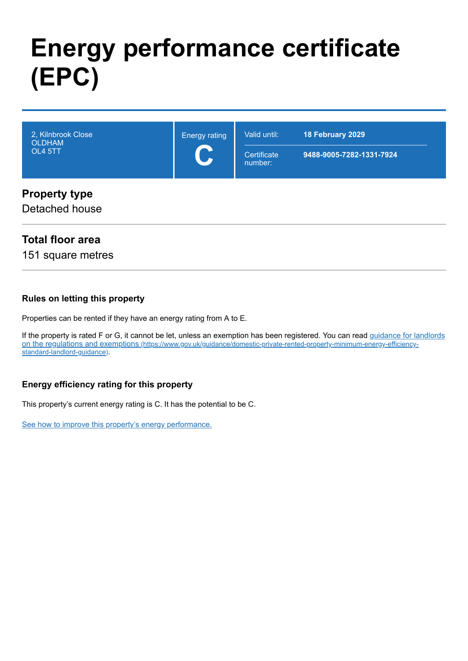# **Energy performance certificate (EPC)**

| 2, Kilnbrook Close<br><b>OLDHAM</b><br>OL4 5TT | <b>Energy rating</b> | Valid until:<br>Certificate<br>number: | 18 February 2029<br>9488-9005-7282-1331-7924 |
|------------------------------------------------|----------------------|----------------------------------------|----------------------------------------------|
| <b>Property type</b><br>Detached house         |                      |                                        |                                              |

## **Total floor area**

151 square metres

#### **Rules on letting this property**

Properties can be rented if they have an energy rating from A to E.

[If the property is rated F or G, it cannot be let, unless an exemption has been registered. You can read guidance for landlords](https://www.gov.uk/guidance/domestic-private-rented-property-minimum-energy-efficiency-standard-landlord-guidance) on the regulations and exemptions (https://www.gov.uk/guidance/domestic-private-rented-property-minimum-energy-efficiencystandard-landlord-guidance).

#### **Energy efficiency rating for this property**

This property's current energy rating is C. It has the potential to be C.

[See how to improve this property's energy performance.](#page-3-0)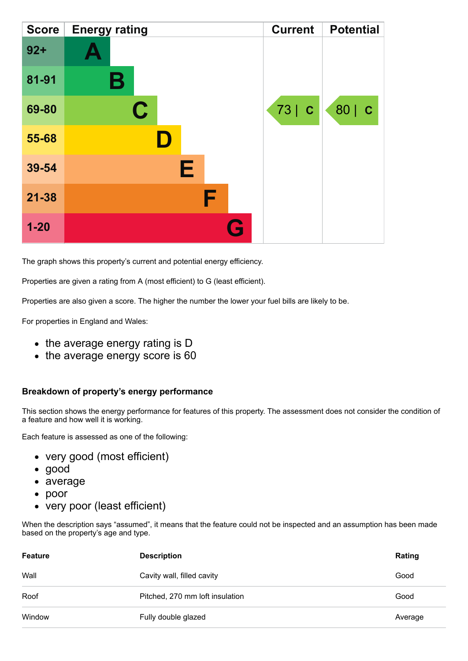| <b>Score</b> | <b>Energy rating</b> | <b>Current</b> | <b>Potential</b> |
|--------------|----------------------|----------------|------------------|
| $92 +$       |                      |                |                  |
| 81-91        | В                    |                |                  |
| 69-80        | C                    | 73   C         | 80   C           |
| 55-68        |                      |                |                  |
| 39-54        | Е                    |                |                  |
| $21 - 38$    | F                    |                |                  |
| $1 - 20$     | Q                    |                |                  |

The graph shows this property's current and potential energy efficiency.

Properties are given a rating from A (most efficient) to G (least efficient).

Properties are also given a score. The higher the number the lower your fuel bills are likely to be.

For properties in England and Wales:

- the average energy rating is D
- the average energy score is 60

#### **Breakdown of property's energy performance**

This section shows the energy performance for features of this property. The assessment does not consider the condition of a feature and how well it is working.

Each feature is assessed as one of the following:

- very good (most efficient)
- good
- average
- poor
- very poor (least efficient)

When the description says "assumed", it means that the feature could not be inspected and an assumption has been made based on the property's age and type.

| Feature | <b>Description</b>              | Rating  |
|---------|---------------------------------|---------|
| Wall    | Cavity wall, filled cavity      | Good    |
| Roof    | Pitched, 270 mm loft insulation | Good    |
| Window  | Fully double glazed             | Average |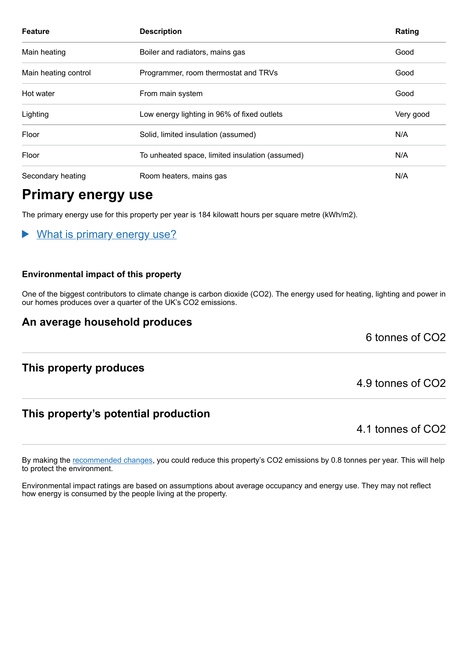| <b>Feature</b>       | <b>Description</b>                              | Rating    |
|----------------------|-------------------------------------------------|-----------|
| Main heating         | Boiler and radiators, mains gas                 | Good      |
| Main heating control | Programmer, room thermostat and TRVs            | Good      |
| Hot water            | From main system                                | Good      |
| Lighting             | Low energy lighting in 96% of fixed outlets     | Very good |
| Floor                | Solid, limited insulation (assumed)             | N/A       |
| Floor                | To unheated space, limited insulation (assumed) | N/A       |
| Secondary heating    | Room heaters, mains gas                         | N/A       |

# **Primary energy use**

The primary energy use for this property per year is 184 kilowatt hours per square metre (kWh/m2).

What is primary energy use?

#### **Environmental impact of this property**

One of the biggest contributors to climate change is carbon dioxide (CO2). The energy used for heating, lighting and power in our homes produces over a quarter of the UK's CO2 emissions.

## **An average household produces**

6 tonnes of CO2

## **This property produces**

## **This property's potential production**

By making the [recommended changes,](#page-3-0) you could reduce this property's CO2 emissions by 0.8 tonnes per year. This will help to protect the environment.

Environmental impact ratings are based on assumptions about average occupancy and energy use. They may not reflect how energy is consumed by the people living at the property.

4.9 tonnes of CO2

4.1 tonnes of CO2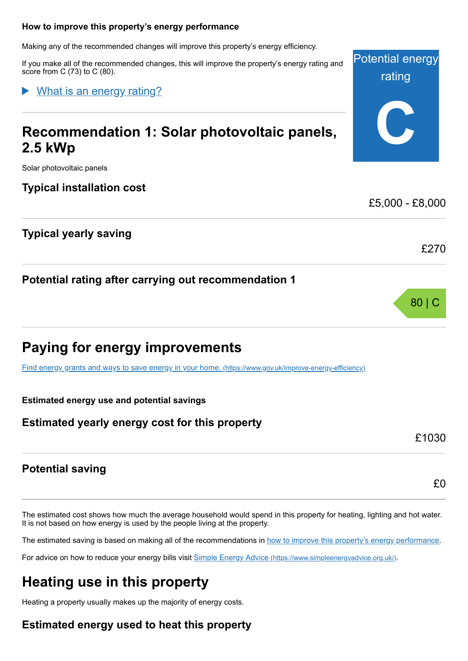#### <span id="page-3-0"></span>**How to improve this property's energy performance**

Making any of the recommended changes will improve this property's energy efficiency.

If you make all of the recommended changes, this will improve the property's energy rating and score from C (73) to C (80).

What is an energy rating?

# **Recommendation 1: Solar photovoltaic panels, 2.5 kWp**

Solar photovoltaic panels

**Typical installation cost**

## **Typical yearly saving**

**Potential rating after carrying out recommendation 1**

# **Paying for energy improvements**

[Find energy grants and ways to save energy in your home.](https://www.gov.uk/improve-energy-efficiency) (https://www.gov.uk/improve-energy-efficiency)

#### **Estimated energy use and potential savings**

## **Estimated yearly energy cost for this property**

**Potential saving**

The estimated cost shows how much the average household would spend in this property for heating, lighting and hot water. It is not based on how energy is used by the people living at the property.

The estimated saving is based on making all of the recommendations in [how to improve this property's energy performance.](#page-3-0)

For advice on how to reduce your energy bills visit Simple Energy Advice [\(https://www.simpleenergyadvice.org.uk/\)](https://www.simpleenergyadvice.org.uk/).

# **Heating use in this property**

Heating a property usually makes up the majority of energy costs.

## **Estimated energy used to heat this property**



£1030

£270

80 | C

£0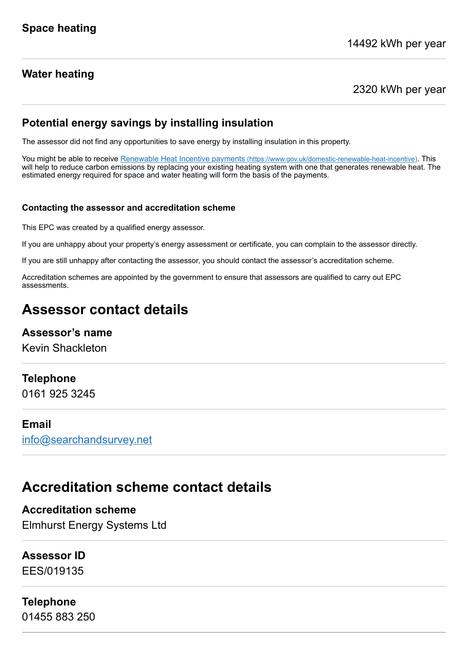## **Water heating**

2320 kWh per year

# **Potential energy savings by installing insulation**

The assessor did not find any opportunities to save energy by installing insulation in this property.

You might be able to receive Renewable Heat Incentive payments [\(https://www.gov.uk/domestic-renewable-heat-incentive\)](https://www.gov.uk/domestic-renewable-heat-incentive). This will help to reduce carbon emissions by replacing your existing heating system with one that generates renewable heat. The estimated energy required for space and water heating will form the basis of the payments.

#### **Contacting the assessor and accreditation scheme**

This EPC was created by a qualified energy assessor.

If you are unhappy about your property's energy assessment or certificate, you can complain to the assessor directly.

If you are still unhappy after contacting the assessor, you should contact the assessor's accreditation scheme.

Accreditation schemes are appointed by the government to ensure that assessors are qualified to carry out EPC assessments.

# **Assessor contact details**

#### **Assessor's name**

Kevin Shackleton

#### **Telephone**

0161 925 3245

#### **Email**

[info@searchandsurvey.net](mailto:info@searchandsurvey.net)

# **Accreditation scheme contact details**

**Accreditation scheme** Elmhurst Energy Systems Ltd

## **Assessor ID**

EES/019135

## **Telephone**

01455 883 250